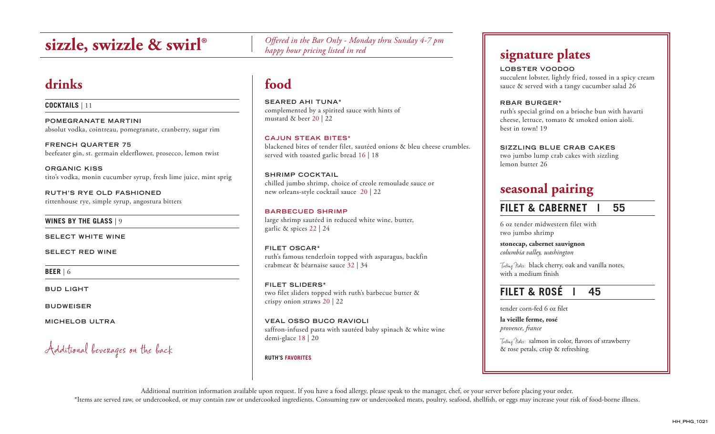# **sizzle, swizzle & swirl®**

# **drinks**

**COCKTAILS** | 11

**POMEGRANATE MARTINI** absolut vodka, cointreau, pomegranate, cranberry, sugar rim

**FRENCH QUARTER 75** beefeater gin, st. germain elderflower, prosecco, lemon twist

**ORGANIC KISS** tito's vodka, monin cucumber syrup, fresh lime juice, mint sprig

**RUTH'S RYE OLD FASHIONED** rittenhouse rye, simple syrup, angostura bitters

**WINES BY THE GLASS** | 9

**SELECT WHITE WINE**

**SELECT RED WINE**

**BEER** | 6

**BUD LIGHT**

**BUDWEISER**

**M ICHELOB ULTRA** 

Additional beverages on the back

*Offered in the Bar Only - Monday thru Sunday 4-7 pm happy hour pricing listed in red*

# **food**

**SEARED AHI TUNA\*** complemented by a spirited sauce with hints of mustard & beer 20 | 22

**CAJUN STEAK BITES\*** blackened bites of tender filet, sautéed onions & bleu cheese crumbles. served with toasted garlic bread 16 | 18

**SHRIMP COCKTAIL** chilled jumbo shrimp, choice of creole remoulade sauce or new orleans-style cocktail sauce 20 | 22

**BARBECUED SHRIMP** large shrimp sautéed in reduced white wine, butter, garlic & spices 22 | 24

**FILET OSCAR\*** ruth's famous tenderloin topped with asparagus, backfin crabmeat & béarnaise sauce 32 | 34

**FILET SLIDERS\*** two filet sliders topped with ruth's barbecue butter & crispy onion straws 20 | 22

**VEAL OSSO BUCO RAVIOLI** saffron-infused pasta with sautéed baby spinach & white wine demi-glace 18 | 20

### **RUTH'S FAVORITES**

**signature plates**

## **LOBSTER VOODOO**

succulent lobster, lightly fried, tossed in a spicy cream sauce & served with a tangy cucumber salad 26

**RBAR BURGER\***

ruth's special grind on a brioche bun with havarti cheese, lettuce, tomato & smoked onion aioli. best in town! 19

**SIZZLING BLUE CRAB CAKES**

two jumbo lump crab cakes with sizzling lemon butter 26

# **seasonal pairing**

## **FILET & CABERNET | 55**

6 oz tender midwestern filet with two jumbo shrimp

**stonecap, cabernet sauvignon** *columbia valley, washington*

Tasting Notes: black cherry, oak and vanilla notes, with a medium finish

## **FILET & ROSÉ | 45**

tender corn-fed 6 oz filet

**la vieille ferme, rosé** *provence, france*

Tasting Notes: salmon in color, flavors of strawberry & rose petals, crisp & refreshing

Additional nutrition information available upon request. If you have a food allergy, please speak to the manager, chef, or your server before placing your order. \*Items are served raw, or undercooked, or may contain raw or undercooked ingredients. Consuming raw or undercooked meats, poultry, seafood, shellfish, or eggs may increase your risk of food-borne illness.